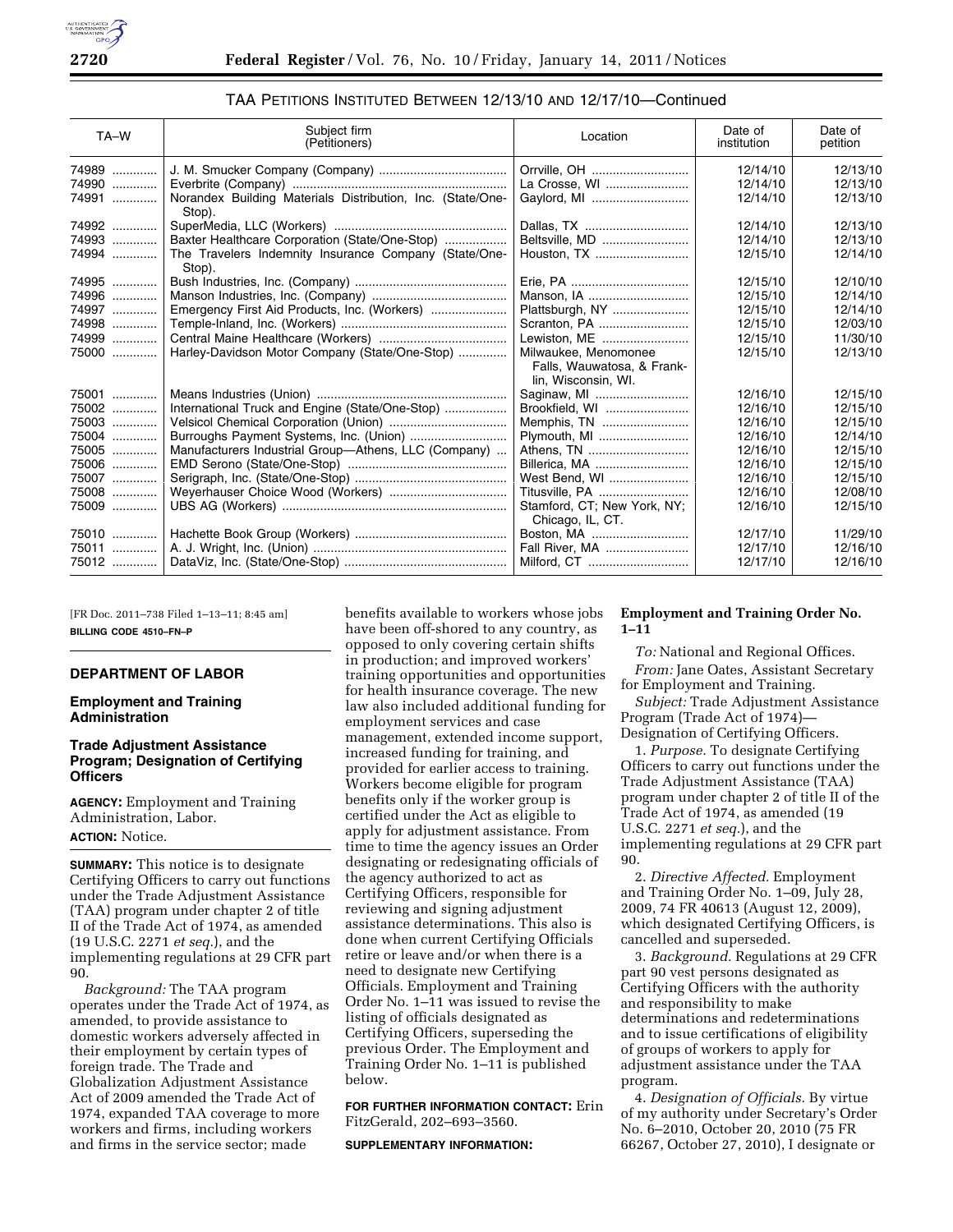| TA-W  | Subject firm<br>(Petitioners)                                        | Location                                                                  | Date of<br>institution | Date of<br>petition |
|-------|----------------------------------------------------------------------|---------------------------------------------------------------------------|------------------------|---------------------|
| 74989 |                                                                      | Orrville, OH                                                              | 12/14/10               | 12/13/10            |
| 74990 |                                                                      | La Crosse, WI                                                             | 12/14/10               | 12/13/10            |
| 74991 | Norandex Building Materials Distribution, Inc. (State/One-<br>Stop). | Gaylord, MI                                                               | 12/14/10               | 12/13/10            |
| 74992 |                                                                      | Dallas, TX                                                                | 12/14/10               | 12/13/10            |
| 74993 | Baxter Healthcare Corporation (State/One-Stop)                       | Beltsville, MD                                                            | 12/14/10               | 12/13/10            |
| 74994 | The Travelers Indemnity Insurance Company (State/One-<br>Stop).      | Houston, TX                                                               | 12/15/10               | 12/14/10            |
| 74995 |                                                                      |                                                                           | 12/15/10               | 12/10/10            |
| 74996 |                                                                      | Manson, IA                                                                | 12/15/10               | 12/14/10            |
| 74997 | Emergency First Aid Products, Inc. (Workers)                         | Plattsburgh, NY                                                           | 12/15/10               | 12/14/10            |
| 74998 |                                                                      | Scranton, PA                                                              | 12/15/10               | 12/03/10            |
| 74999 |                                                                      | Lewiston, ME                                                              | 12/15/10               | 11/30/10            |
| 75000 | Harley-Davidson Motor Company (State/One-Stop)                       | Milwaukee, Menomonee<br>Falls, Wauwatosa, & Frank-<br>lin, Wisconsin, WI. | 12/15/10               | 12/13/10            |
| 75001 |                                                                      | Saginaw, MI                                                               | 12/16/10               | 12/15/10            |
| 75002 | International Truck and Engine (State/One-Stop)                      | Brookfield, WI                                                            | 12/16/10               | 12/15/10            |
| 75003 |                                                                      | Memphis, TN                                                               | 12/16/10               | 12/15/10            |
| 75004 |                                                                      | Plymouth, MI                                                              | 12/16/10               | 12/14/10            |
| 75005 | Manufacturers Industrial Group-Athens, LLC (Company)                 | Athens, TN                                                                | 12/16/10               | 12/15/10            |
| 75006 |                                                                      | Billerica, MA                                                             | 12/16/10               | 12/15/10            |
| 75007 |                                                                      | West Bend, WI                                                             | 12/16/10               | 12/15/10            |
| 75008 |                                                                      | Titusville, PA                                                            | 12/16/10               | 12/08/10            |
| 75009 |                                                                      | Stamford, CT; New York, NY;<br>Chicago, IL, CT.                           | 12/16/10               | 12/15/10            |
| 75010 |                                                                      | Boston, MA                                                                | 12/17/10               | 11/29/10            |
| 75011 |                                                                      | Fall River, MA                                                            | 12/17/10               | 12/16/10            |
| 75012 |                                                                      |                                                                           | 12/17/10               | 12/16/10            |

# TAA PETITIONS INSTITUTED BETWEEN 12/13/10 AND 12/17/10—Continued

[FR Doc. 2011–738 Filed 1–13–11; 8:45 am] **BILLING CODE 4510–FN–P** 

# **DEPARTMENT OF LABOR**

## **Employment and Training Administration**

# **Trade Adjustment Assistance Program; Designation of Certifying Officers**

**AGENCY:** Employment and Training Administration, Labor. **ACTION:** Notice.

**SUMMARY:** This notice is to designate Certifying Officers to carry out functions under the Trade Adjustment Assistance (TAA) program under chapter 2 of title II of the Trade Act of 1974, as amended (19 U.S.C. 2271 *et seq.*), and the implementing regulations at 29 CFR part 90.

*Background:* The TAA program operates under the Trade Act of 1974, as amended, to provide assistance to domestic workers adversely affected in their employment by certain types of foreign trade. The Trade and Globalization Adjustment Assistance Act of 2009 amended the Trade Act of 1974, expanded TAA coverage to more workers and firms, including workers and firms in the service sector; made

benefits available to workers whose jobs have been off-shored to any country, as opposed to only covering certain shifts in production; and improved workers' training opportunities and opportunities for health insurance coverage. The new law also included additional funding for employment services and case management, extended income support, increased funding for training, and provided for earlier access to training. Workers become eligible for program benefits only if the worker group is certified under the Act as eligible to apply for adjustment assistance. From time to time the agency issues an Order designating or redesignating officials of the agency authorized to act as Certifying Officers, responsible for reviewing and signing adjustment assistance determinations. This also is done when current Certifying Officials retire or leave and/or when there is a need to designate new Certifying Officials. Employment and Training Order No. 1–11 was issued to revise the listing of officials designated as Certifying Officers, superseding the previous Order. The Employment and Training Order No. 1–11 is published below.

**FOR FURTHER INFORMATION CONTACT:** Erin FitzGerald, 202–693–3560.

**SUPPLEMENTARY INFORMATION:** 

## **Employment and Training Order No. 1–11**

*To:* National and Regional Offices. *From:* Jane Oates, Assistant Secretary for Employment and Training.

*Subject:* Trade Adjustment Assistance Program (Trade Act of 1974)— Designation of Certifying Officers.

1. *Purpose.* To designate Certifying Officers to carry out functions under the Trade Adjustment Assistance (TAA) program under chapter 2 of title II of the Trade Act of 1974, as amended (19 U.S.C. 2271 *et seq.*), and the implementing regulations at 29 CFR part 90.

2. *Directive Affected.* Employment and Training Order No. 1–09, July 28, 2009, 74 FR 40613 (August 12, 2009), which designated Certifying Officers, is cancelled and superseded.

3. *Background.* Regulations at 29 CFR part 90 vest persons designated as Certifying Officers with the authority and responsibility to make determinations and redeterminations and to issue certifications of eligibility of groups of workers to apply for adjustment assistance under the TAA program.

4. *Designation of Officials.* By virtue of my authority under Secretary's Order No. 6–2010, October 20, 2010 (75 FR 66267, October 27, 2010), I designate or